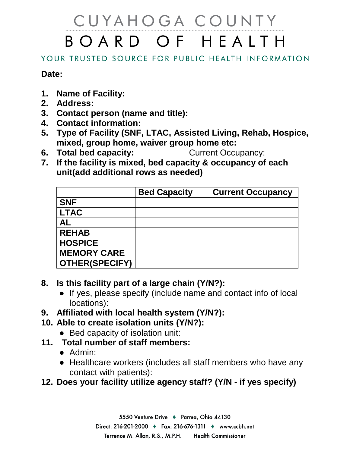## CUYAHOGA COUNTY BOARD OF HEALTH

## YOUR TRUSTED SOURCE FOR PUBLIC HEALTH INFORMATION

## **Date:**

- **1. Name of Facility:**
- **2. Address:**
- **3. Contact person (name and title):**
- **4. Contact information:**
- **5. Type of Facility (SNF, LTAC, Assisted Living, Rehab, Hospice, mixed, group home, waiver group home etc:**
- **6. Total bed capacity:** Current Occupancy:
- **7. If the facility is mixed, bed capacity & occupancy of each unit(add additional rows as needed)**

|                       | <b>Bed Capacity</b> | <b>Current Occupancy</b> |
|-----------------------|---------------------|--------------------------|
| <b>SNF</b>            |                     |                          |
| <b>LTAC</b>           |                     |                          |
| AL                    |                     |                          |
| <b>REHAB</b>          |                     |                          |
| <b>HOSPICE</b>        |                     |                          |
| <b>MEMORY CARE</b>    |                     |                          |
| <b>OTHER(SPECIFY)</b> |                     |                          |

- **8. Is this facility part of a large chain (Y/N?):**
	- If yes, please specify (include name and contact info of local locations):
- **9. Affiliated with local health system (Y/N?):**
- **10. Able to create isolation units (Y/N?):**
	- Bed capacity of isolation unit:
- **11. Total number of staff members:**
	- Admin:
	- Healthcare workers (includes all staff members who have any contact with patients):
- **12. Does your facility utilize agency staff? (Y/N - if yes specify)**